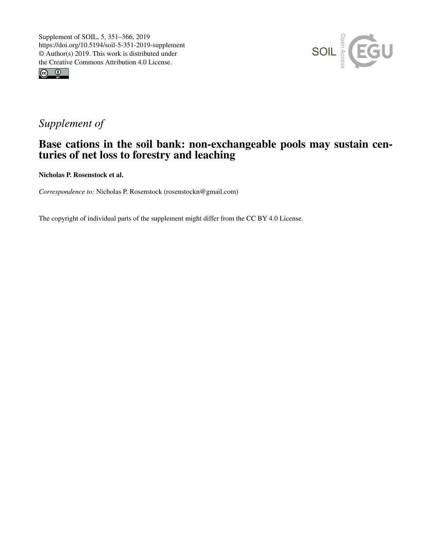



# *Supplement of*

## Base cations in the soil bank: non-exchangeable pools may sustain centuries of net loss to forestry and leaching

Nicholas P. Rosenstock et al.

*Correspondence to:* Nicholas P. Rosenstock (rosenstockn@gmail.com)

The copyright of individual parts of the supplement might differ from the CC BY 4.0 License.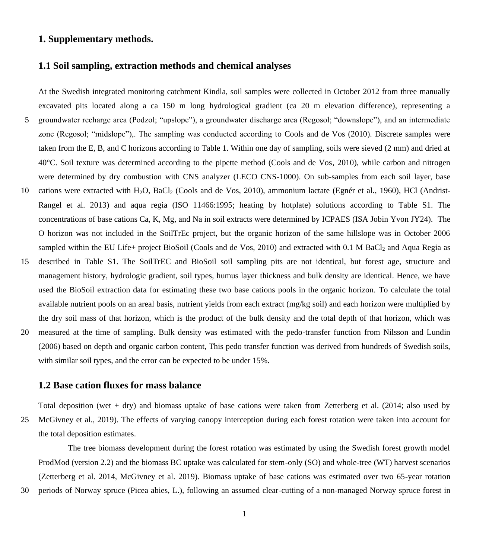#### **1. Supplementary methods.**

#### **1.1 Soil sampling, extraction methods and chemical analyses**

At the Swedish integrated monitoring catchment Kindla, soil samples were collected in October 2012 from three manually excavated pits located along a ca 150 m long hydrological gradient (ca 20 m elevation difference), representing a 5 groundwater recharge area (Podzol; "upslope"), a groundwater discharge area (Regosol; "downslope"), and an intermediate zone (Regosol; "midslope"),. The sampling was conducted according to Cools and de Vos (2010). Discrete samples were taken from the E, B, and C horizons according to Table 1. Within one day of sampling, soils were sieved (2 mm) and dried at 40°C. Soil texture was determined according to the pipette method (Cools and de Vos, 2010), while carbon and nitrogen were determined by dry combustion with CNS analyzer (LECO CNS-1000). On sub-samples from each soil layer, base 10 cations were extracted with H2O, BaCl<sup>2</sup> (Cools and de Vos, 2010), ammonium lactate (Egnér et al., 1960), HCl (Andrist-Rangel et al. 2013) and aqua regia (ISO 11466:1995; heating by hotplate) solutions according to Table S1. The concentrations of base cations Ca, K, Mg, and Na in soil extracts were determined by ICPAES (ISA Jobin Yvon JY24). The O horizon was not included in the SoilTrEc project, but the organic horizon of the same hillslope was in October 2006 sampled within the EU Life+ project BioSoil (Cools and de Vos, 2010) and extracted with 0.1 M BaCl<sub>2</sub> and Aqua Regia as

- 15 described in Table S1. The SoilTrEC and BioSoil soil sampling pits are not identical, but forest age, structure and management history, hydrologic gradient, soil types, humus layer thickness and bulk density are identical. Hence, we have used the BioSoil extraction data for estimating these two base cations pools in the organic horizon. To calculate the total available nutrient pools on an areal basis, nutrient yields from each extract (mg/kg soil) and each horizon were multiplied by the dry soil mass of that horizon, which is the product of the bulk density and the total depth of that horizon, which was
- 20 measured at the time of sampling. Bulk density was estimated with the pedo-transfer function from Nilsson and Lundin (2006) based on depth and organic carbon content, This pedo transfer function was derived from hundreds of Swedish soils, with similar soil types, and the error can be expected to be under 15%.

#### **1.2 Base cation fluxes for mass balance**

Total deposition (wet + dry) and biomass uptake of base cations were taken from Zetterberg et al. (2014; also used by 25 McGivney et al., 2019). The effects of varying canopy interception during each forest rotation were taken into account for the total deposition estimates.

The tree biomass development during the forest rotation was estimated by using the Swedish forest growth model ProdMod (version 2.2) and the biomass BC uptake was calculated for stem-only (SO) and whole-tree (WT) harvest scenarios (Zetterberg et al. 2014, McGivney et al. 2019). Biomass uptake of base cations was estimated over two 65-year rotation

30 periods of Norway spruce (Picea abies, L.), following an assumed clear-cutting of a non-managed Norway spruce forest in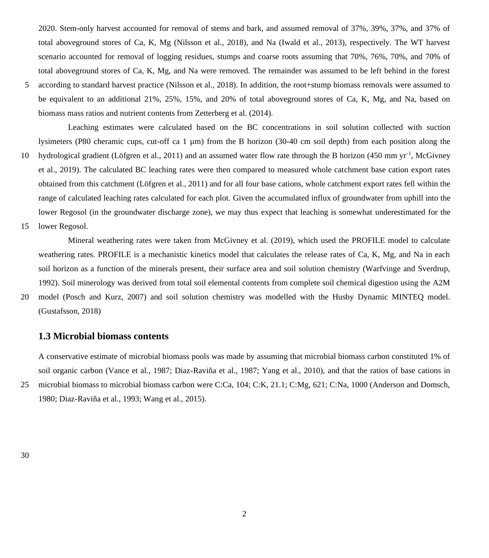2020. Stem-only harvest accounted for removal of stems and bark, and assumed removal of 37%, 39%, 37%, and 37% of total aboveground stores of Ca, K, Mg (Nilsson et al., 2018), and Na (Iwald et al., 2013), respectively. The WT harvest scenario accounted for removal of logging residues, stumps and coarse roots assuming that 70%, 76%, 70%, and 70% of total aboveground stores of Ca, K, Mg, and Na were removed. The remainder was assumed to be left behind in the forest

5 according to standard harvest practice (Nilsson et al., 2018). In addition, the root+stump biomass removals were assumed to be equivalent to an additional 21%, 25%, 15%, and 20% of total aboveground stores of Ca, K, Mg, and Na, based on biomass mass ratios and nutrient contents from Zetterberg et al. (2014).

Leaching estimates were calculated based on the BC concentrations in soil solution collected with suction lysimeters (P80 cheramic cups, cut-off ca 1  $\mu$ m) from the B horizon (30-40 cm soil depth) from each position along the

- hydrological gradient (Löfgren et al., 2011) and an assumed water flow rate through the B horizon (450 mm yr<sup>-1</sup>, McGivney et al., 2019). The calculated BC leaching rates were then compared to measured whole catchment base cation export rates obtained from this catchment (Löfgren et al., 2011) and for all four base cations, whole catchment export rates fell within the range of calculated leaching rates calculated for each plot. Given the accumulated influx of groundwater from uphill into the lower Regosol (in the groundwater discharge zone), we may thus expect that leaching is somewhat underestimated for the
- 15 lower Regosol.

Mineral weathering rates were taken from McGivney et al. (2019), which used the PROFILE model to calculate weathering rates. PROFILE is a mechanistic kinetics model that calculates the release rates of Ca, K, Mg, and Na in each soil horizon as a function of the minerals present, their surface area and soil solution chemistry (Warfvinge and Sverdrup, 1992). Soil minerology was derived from total soil elemental contents from complete soil chemical digestion using the A2M

20 model (Posch and Kurz, 2007) and soil solution chemistry was modelled with the Husby Dynamic MINTEQ model. (Gustafsson, 2018)

### **1.3 Microbial biomass contents**

A conservative estimate of microbial biomass pools was made by assuming that microbial biomass carbon constituted 1% of soil organic carbon (Vance et al., 1987; Diaz-Raviña et al., 1987; Yang et al., 2010), and that the ratios of base cations in 25 microbial biomass to microbial biomass carbon were C:Ca, 104; C:K, 21.1; C:Mg, 621; C:Na, 1000 (Anderson and Domsch, 1980; Diaz-Raviña et al., 1993; Wang et al., 2015).